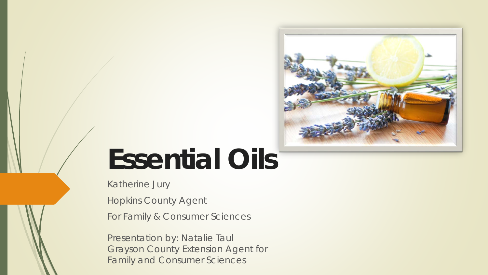

# **Essential Oils**

Katherine Jury

Hopkins County Agent

For Family & Consumer Sciences

Presentation by: Natalie Taul Grayson County Extension Agent for Family and Consumer Sciences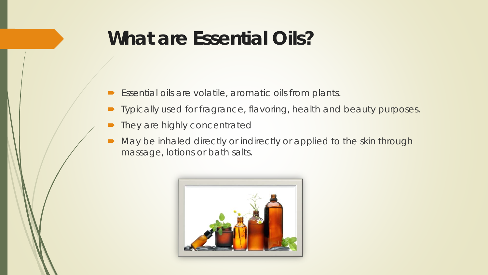#### **What are Essential Oils?**

- $\blacktriangleright$  Essential oils are volatile, aromatic oils from plants.
- **•** Typically used for fragrance, flavoring, health and beauty purposes.
- They are highly concentrated
- May be inhaled directly or indirectly or applied to the skin through massage, lotions or bath salts.

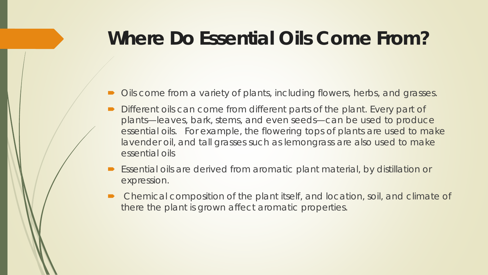#### **Where Do Essential Oils Come From?**

- Oils come from a variety of plants, including flowers, herbs, and grasses.
- Different oils can come from different parts of the plant. Every part of plants—leaves, bark, stems, and even seeds—can be used to produce essential oils. For example, the flowering tops of plants are used to make lavender oil, and tall grasses such as lemongrass are also used to make essential oils
- Essential oils are derived from aromatic plant material, by distillation or expression.
- Chemical composition of the plant itself, and location, soil, and climate of there the plant is grown affect aromatic properties.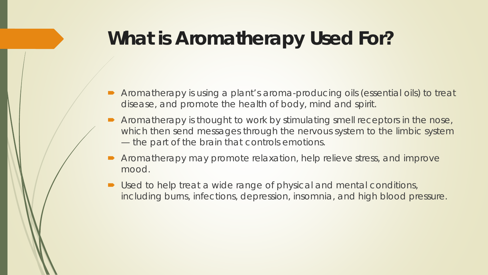#### **What is Aromatherapy Used For?**

- Aromatherapy is using a plant's aroma-producing oils (essential oils) to treat disease, and promote the health of body, mind and spirit.
- Aromatherapy is thought to work by stimulating smell receptors in the nose, which then send messages through the nervous system to the limbic system — the part of the brain that controls emotions.
- Aromatherapy may promote relaxation, help relieve stress, and improve mood.
- Used to help treat a wide range of physical and mental conditions, including burns, infections, depression, insomnia, and high blood pressure.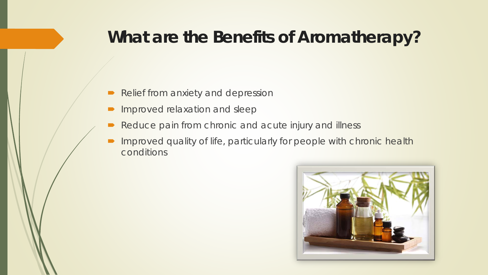#### **What are the Benefits of Aromatherapy?**

- Relief from anxiety and depression
- **Improved relaxation and sleep**
- Reduce pain from chronic and acute injury and illness
- **Improved quality of life, particularly for people with chronic health** conditions

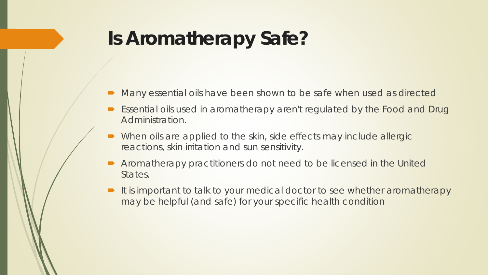### **Is Aromatherapy Safe?**

- Many essential oils have been shown to be safe when used as directed
- Essential oils used in aromatherapy aren't regulated by the Food and Drug Administration.
- When oils are applied to the skin, side effects may include allergic reactions, skin irritation and sun sensitivity.
- Aromatherapy practitioners do not need to be licensed in the United States.
- It is important to talk to your medical doctor to see whether aromatherapy may be helpful (and safe) for your specific health condition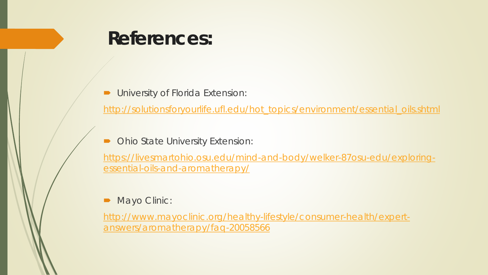#### **References:**

*University of Florida Extension:*

[http://solutionsforyourlife.ufl.edu/hot\\_topics/environment/essential\\_oils.shtml](http://solutionsforyourlife.ufl.edu/hot_topics/environment/essential_oils.shtml)

*Ohio State University Extension:*

[https://livesmartohio.osu.edu/mind-and-body/welker-87osu-edu/exploring](https://livesmartohio.osu.edu/mind-and-body/welker-87osu-edu/exploring-essential-oils-and-aromatherapy/)essential-oils-and-aromatherapy/

#### *Mayo Clinic:*

[http://www.mayoclinic.org/healthy-lifestyle/consumer-health/expert](http://www.mayoclinic.org/healthy-lifestyle/consumer-health/expert-answers/aromatherapy/faq-20058566)answers/aromatherapy/faq-20058566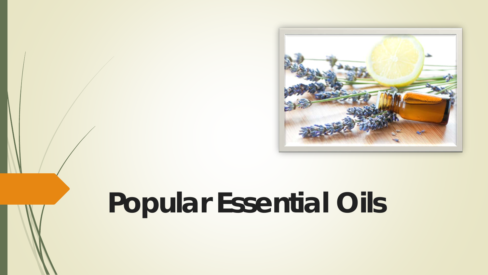

# **Popular Essential Oils**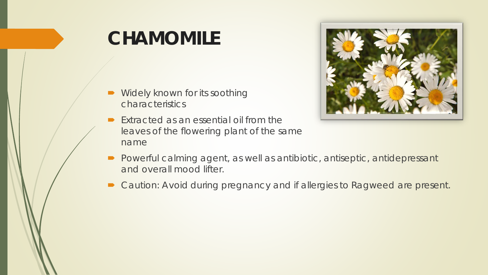### **CHAMOMILE**

- Widely known for its soothing characteristics
- $\blacktriangleright$  Extracted as an essential oil from the leaves of the flowering plant of the same name



- **Powerful calming agent, as well as antibiotic, antiseptic, antidepressant** and overall mood lifter.
- Caution: Avoid during pregnancy and if allergies to Ragweed are present.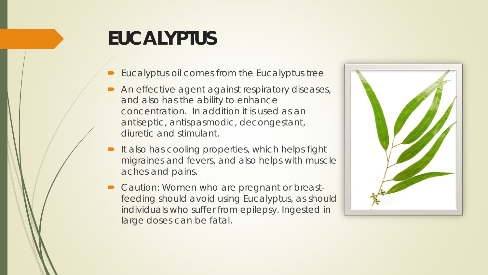# **EUCALYPTUS**

- Eucalyptus oil comes from the Eucalyptus tree
- An effective agent against respiratory diseases, and also has the ability to enhance concentration. In addition it is used as an antiseptic, antispasmodic, decongestant, diuretic and stimulant.
- $\blacksquare$  It also has cooling properties, which helps fight migraines and fevers, and also helps with muscle aches and pains.
- Caution: Women who are pregnant or breastfeeding should avoid using Eucalyptus, as should individuals who suffer from epilepsy. Ingested in large doses can be fatal.

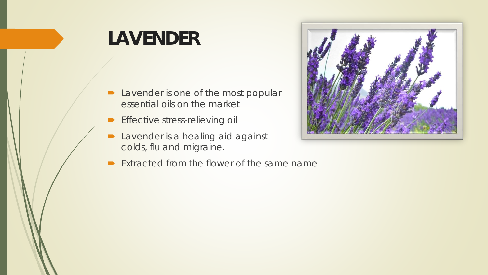# **LAVENDER**

- **D** Lavender is one of the most popular essential oils on the market
- **Effective stress-relieving oil**
- **D** Lavender is a healing aid against colds, flu and migraine.
- $\blacktriangleright$  Extracted from the flower of the same name

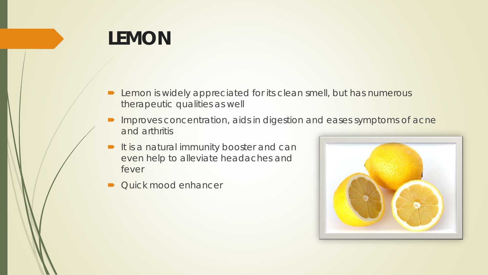### **LEMON**

- **D** Lemon is widely appreciated for its clean smell, but has numerous therapeutic qualities as well
- **Improves concentration, aids in digestion and eases symptoms of acne** and arthritis
- It is a natural immunity booster and can even help to alleviate headaches and fever
- Quick mood enhancer

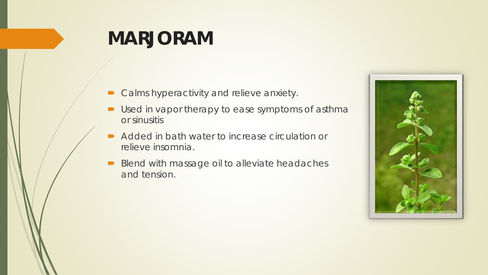#### **MARJORAM**

- **Calms hyperactivity and relieve anxiety.**
- Used in vapor therapy to ease symptoms of asthma or sinusitis
- Added in bath water to increase circulation or relieve insomnia.
- Blend with massage oil to alleviate headaches and tension.

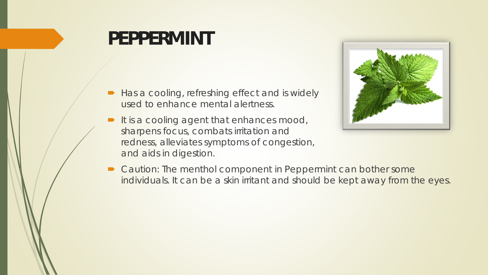#### **PEPPERMINT**

- Has a cooling, refreshing effect and is widely used to enhance mental alertness.
- It is a cooling agent that enhances mood, sharpens focus, combats irritation and redness, alleviates symptoms of congestion, and aids in digestion.



■ Caution: The menthol component in Peppermint can bother some individuals. It can be a skin irritant and should be kept away from the eyes.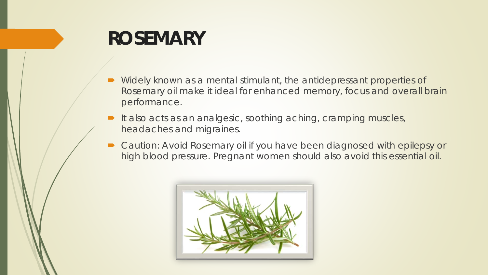#### **ROSEMARY**

- Widely known as a mental stimulant, the antidepressant properties of Rosemary oil make it ideal for enhanced memory, focus and overall brain performance.
- It also acts as an analgesic, soothing aching, cramping muscles, headaches and migraines.
- Caution: Avoid Rosemary oil if you have been diagnosed with epilepsy or high blood pressure. Pregnant women should also avoid this essential oil.